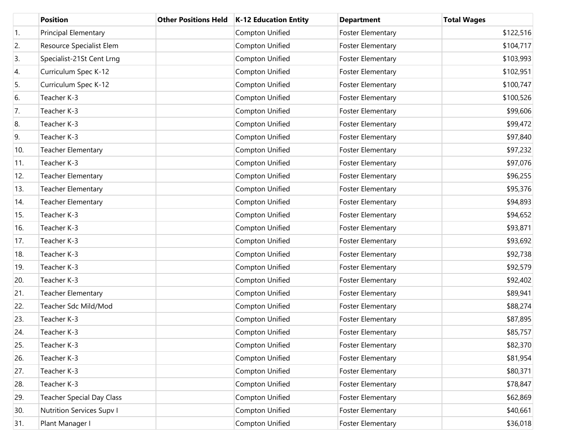|     | <b>Position</b>                  | <b>Other Positions Held</b> | <b>K-12 Education Entity</b> | <b>Department</b>        | <b>Total Wages</b> |
|-----|----------------------------------|-----------------------------|------------------------------|--------------------------|--------------------|
| 1.  | Principal Elementary             |                             | Compton Unified              | <b>Foster Elementary</b> | \$122,516          |
| 2.  | Resource Specialist Elem         |                             | Compton Unified              | <b>Foster Elementary</b> | \$104,717          |
| 3.  | Specialist-21St Cent Lrng        |                             | <b>Compton Unified</b>       | Foster Elementary        | \$103,993          |
| 4.  | Curriculum Spec K-12             |                             | Compton Unified              | <b>Foster Elementary</b> | \$102,951          |
| 5.  | Curriculum Spec K-12             |                             | Compton Unified              | Foster Elementary        | \$100,747          |
| 6.  | Teacher K-3                      |                             | Compton Unified              | <b>Foster Elementary</b> | \$100,526          |
| 7.  | Teacher K-3                      |                             | Compton Unified              | Foster Elementary        | \$99,606           |
| 8.  | Teacher K-3                      |                             | Compton Unified              | <b>Foster Elementary</b> | \$99,472           |
| 9.  | Teacher K-3                      |                             | Compton Unified              | Foster Elementary        | \$97,840           |
| 10. | <b>Teacher Elementary</b>        |                             | Compton Unified              | <b>Foster Elementary</b> | \$97,232           |
| 11. | Teacher K-3                      |                             | Compton Unified              | <b>Foster Elementary</b> | \$97,076           |
| 12. | <b>Teacher Elementary</b>        |                             | Compton Unified              | <b>Foster Elementary</b> | \$96,255           |
| 13. | <b>Teacher Elementary</b>        |                             | Compton Unified              | Foster Elementary        | \$95,376           |
| 14. | <b>Teacher Elementary</b>        |                             | <b>Compton Unified</b>       | <b>Foster Elementary</b> | \$94,893           |
| 15. | Teacher K-3                      |                             | Compton Unified              | Foster Elementary        | \$94,652           |
| 16. | Teacher K-3                      |                             | Compton Unified              | <b>Foster Elementary</b> | \$93,871           |
| 17. | Teacher K-3                      |                             | Compton Unified              | <b>Foster Elementary</b> | \$93,692           |
| 18. | Teacher K-3                      |                             | Compton Unified              | <b>Foster Elementary</b> | \$92,738           |
| 19. | Teacher K-3                      |                             | Compton Unified              | Foster Elementary        | \$92,579           |
| 20. | Teacher K-3                      |                             | Compton Unified              | <b>Foster Elementary</b> | \$92,402           |
| 21. | <b>Teacher Elementary</b>        |                             | Compton Unified              | Foster Elementary        | \$89,941           |
| 22. | Teacher Sdc Mild/Mod             |                             | Compton Unified              | <b>Foster Elementary</b> | \$88,274           |
| 23. | Teacher K-3                      |                             | Compton Unified              | <b>Foster Elementary</b> | \$87,895           |
| 24. | Teacher K-3                      |                             | Compton Unified              | <b>Foster Elementary</b> | \$85,757           |
| 25. | Teacher K-3                      |                             | Compton Unified              | <b>Foster Elementary</b> | \$82,370           |
| 26. | Teacher K-3                      |                             | Compton Unified              | <b>Foster Elementary</b> | \$81,954           |
| 27. | Teacher K-3                      |                             | Compton Unified              | <b>Foster Elementary</b> | \$80,371           |
| 28. | Teacher K-3                      |                             | Compton Unified              | Foster Elementary        | \$78,847           |
| 29. | <b>Teacher Special Day Class</b> |                             | Compton Unified              | <b>Foster Elementary</b> | \$62,869           |
| 30. | <b>Nutrition Services Supv I</b> |                             | Compton Unified              | <b>Foster Elementary</b> | \$40,661           |
| 31. | Plant Manager I                  |                             | Compton Unified              | Foster Elementary        | \$36,018           |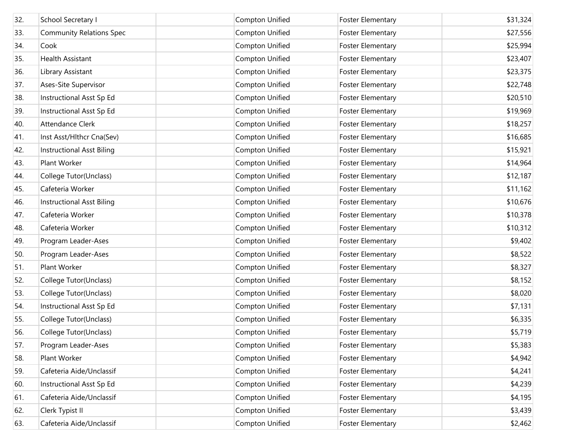| 32. | School Secretary I               | Compton Unified | <b>Foster Elementary</b> | \$31,324 |
|-----|----------------------------------|-----------------|--------------------------|----------|
| 33. | <b>Community Relations Spec</b>  | Compton Unified | <b>Foster Elementary</b> | \$27,556 |
| 34. | Cook                             | Compton Unified | <b>Foster Elementary</b> | \$25,994 |
| 35. | <b>Health Assistant</b>          | Compton Unified | <b>Foster Elementary</b> | \$23,407 |
| 36. | Library Assistant                | Compton Unified | <b>Foster Elementary</b> | \$23,375 |
| 37. | Ases-Site Supervisor             | Compton Unified | <b>Foster Elementary</b> | \$22,748 |
| 38. | Instructional Asst Sp Ed         | Compton Unified | <b>Foster Elementary</b> | \$20,510 |
| 39. | Instructional Asst Sp Ed         | Compton Unified | <b>Foster Elementary</b> | \$19,969 |
| 40. | Attendance Clerk                 | Compton Unified | <b>Foster Elementary</b> | \$18,257 |
| 41. | Inst Asst/Hlthcr Cna(Sev)        | Compton Unified | <b>Foster Elementary</b> | \$16,685 |
| 42. | <b>Instructional Asst Biling</b> | Compton Unified | <b>Foster Elementary</b> | \$15,921 |
| 43. | Plant Worker                     | Compton Unified | <b>Foster Elementary</b> | \$14,964 |
| 44. | College Tutor(Unclass)           | Compton Unified | <b>Foster Elementary</b> | \$12,187 |
| 45. | Cafeteria Worker                 | Compton Unified | <b>Foster Elementary</b> | \$11,162 |
| 46. | <b>Instructional Asst Biling</b> | Compton Unified | <b>Foster Elementary</b> | \$10,676 |
| 47. | Cafeteria Worker                 | Compton Unified | <b>Foster Elementary</b> | \$10,378 |
| 48. | Cafeteria Worker                 | Compton Unified | <b>Foster Elementary</b> | \$10,312 |
| 49. | Program Leader-Ases              | Compton Unified | <b>Foster Elementary</b> | \$9,402  |
| 50. | Program Leader-Ases              | Compton Unified | <b>Foster Elementary</b> | \$8,522  |
| 51. | Plant Worker                     | Compton Unified | <b>Foster Elementary</b> | \$8,327  |
| 52. | College Tutor(Unclass)           | Compton Unified | <b>Foster Elementary</b> | \$8,152  |
| 53. | College Tutor(Unclass)           | Compton Unified | <b>Foster Elementary</b> | \$8,020  |
| 54. | Instructional Asst Sp Ed         | Compton Unified | <b>Foster Elementary</b> | \$7,131  |
| 55. | College Tutor(Unclass)           | Compton Unified | <b>Foster Elementary</b> | \$6,335  |
| 56. | College Tutor(Unclass)           | Compton Unified | <b>Foster Elementary</b> | \$5,719  |
| 57. | Program Leader-Ases              | Compton Unified | <b>Foster Elementary</b> | \$5,383  |
| 58. | Plant Worker                     | Compton Unified | <b>Foster Elementary</b> | \$4,942  |
| 59. | Cafeteria Aide/Unclassif         | Compton Unified | <b>Foster Elementary</b> | \$4,241  |
| 60. | Instructional Asst Sp Ed         | Compton Unified | <b>Foster Elementary</b> | \$4,239  |
| 61. | Cafeteria Aide/Unclassif         | Compton Unified | <b>Foster Elementary</b> | \$4,195  |
| 62. | Clerk Typist II                  | Compton Unified | <b>Foster Elementary</b> | \$3,439  |
| 63. | Cafeteria Aide/Unclassif         | Compton Unified | <b>Foster Elementary</b> | \$2,462  |